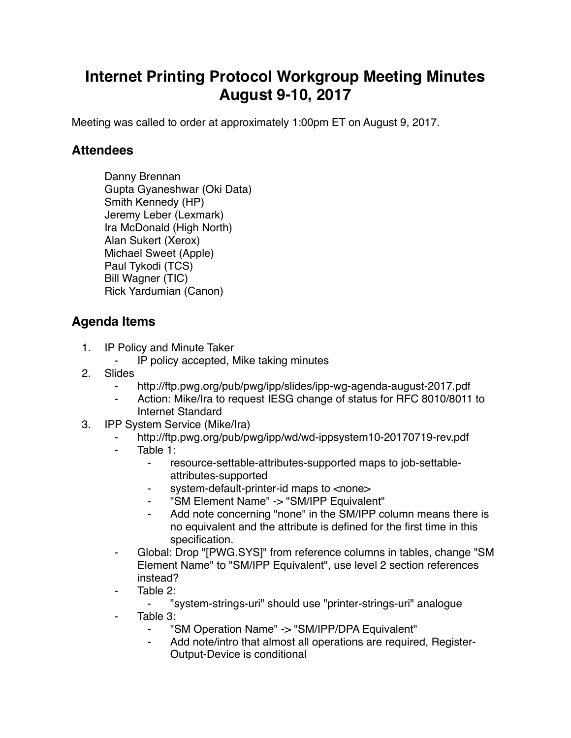## **Internet Printing Protocol Workgroup Meeting Minutes August 9-10, 2017**

Meeting was called to order at approximately 1:00pm ET on August 9, 2017.

## **Attendees**

Danny Brennan Gupta Gyaneshwar (Oki Data) Smith Kennedy (HP) Jeremy Leber (Lexmark) Ira McDonald (High North) Alan Sukert (Xerox) Michael Sweet (Apple) Paul Tykodi (TCS) Bill Wagner (TIC) Rick Yardumian (Canon)

## **Agenda Items**

- 1. IP Policy and Minute Taker
	- ⁃ IP policy accepted, Mike taking minutes
- 2. Slides
	- ⁃ http://ftp.pwg.org/pub/pwg/ipp/slides/ipp-wg-agenda-august-2017.pdf
	- Action: Mike/Ira to request IESG change of status for RFC 8010/8011 to Internet Standard
- 3. IPP System Service (Mike/Ira)
	- http://ftp.pwg.org/pub/pwg/ipp/wd/wd-ippsystem10-20170719-rev.pdf
	- Table 1:
		- ⁃ resource-settable-attributes-supported maps to job-settableattributes-supported
		- ⁃ system-default-printer-id maps to <none>
		- ⁃ "SM Element Name" -> "SM/IPP Equivalent"
		- ⁃ Add note concerning "none" in the SM/IPP column means there is no equivalent and the attribute is defined for the first time in this specification.
	- ⁃ Global: Drop "[PWG.SYS]" from reference columns in tables, change "SM Element Name" to "SM/IPP Equivalent", use level 2 section references instead?
	- Table 2:
		- ⁃ "system-strings-uri" should use "printer-strings-uri" analogue
	- ⁃ Table 3:
		- "SM Operation Name" -> "SM/IPP/DPA Equivalent"
		- ⁃ Add note/intro that almost all operations are required, Register-Output-Device is conditional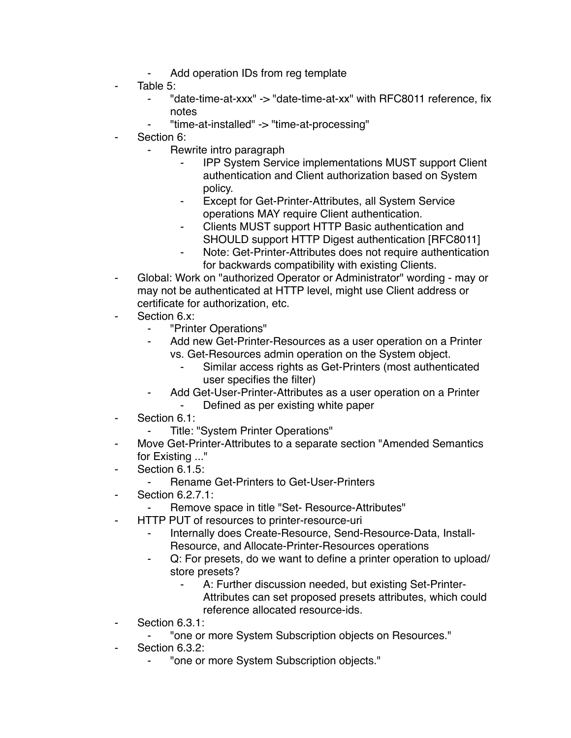- Add operation IDs from reg template
- Table 5:
	- ⁃ "date-time-at-xxx" -> "date-time-at-xx" with RFC8011 reference, fix notes
	- ⁃ "time-at-installed" -> "time-at-processing"
- Section 6:
	- Rewrite intro paragraph
		- **IPP System Service implementations MUST support Client** authentication and Client authorization based on System policy.
		- Except for Get-Printer-Attributes, all System Service operations MAY require Client authentication.
		- Clients MUST support HTTP Basic authentication and SHOULD support HTTP Digest authentication [RFC8011]
		- ⁃ Note: Get-Printer-Attributes does not require authentication for backwards compatibility with existing Clients.
- Global: Work on "authorized Operator or Administrator" wording may or may not be authenticated at HTTP level, might use Client address or certificate for authorization, etc.
- Section 6.x:
	- ⁃ "Printer Operations"
	- Add new Get-Printer-Resources as a user operation on a Printer vs. Get-Resources admin operation on the System object.
		- Similar access rights as Get-Printers (most authenticated user specifies the filter)
	- Add Get-User-Printer-Attributes as a user operation on a Printer
		- ⁃ Defined as per existing white paper
- Section 6.1:
	- ⁃ Title: "System Printer Operations"
- Move Get-Printer-Attributes to a separate section "Amended Semantics" for Existing ..."
- ⁃ Section 6.1.5:
	- ⁃ Rename Get-Printers to Get-User-Printers
- Section 6.2.7.1:
	- Remove space in title "Set- Resource-Attributes"
- ⁃ HTTP PUT of resources to printer-resource-uri
	- ⁃ Internally does Create-Resource, Send-Resource-Data, Install-Resource, and Allocate-Printer-Resources operations
	- Q: For presets, do we want to define a printer operation to upload/ store presets?
		- A: Further discussion needed, but existing Set-Printer-Attributes can set proposed presets attributes, which could reference allocated resource-ids.
- Section 6.3.1:
	- ⁃ "one or more System Subscription objects on Resources."
- Section 6.3.2:
	- ⁃ "one or more System Subscription objects."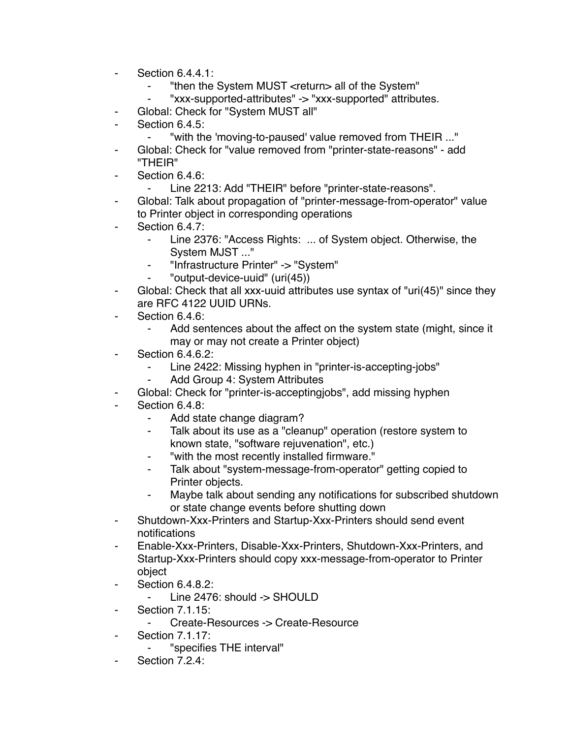- ⁃ Section 6.4.4.1:
	- ⁃ "then the System MUST <return> all of the System"
	- ⁃ "xxx-supported-attributes" -> "xxx-supported" attributes.
- Global: Check for "System MUST all"
- Section 6.4.5:
	- "with the 'moving-to-paused' value removed from THEIR ..."
- Global: Check for "value removed from "printer-state-reasons" add "THEIR"
- Section 6.4.6:
	- Line 2213: Add "THEIR" before "printer-state-reasons".
- Global: Talk about propagation of "printer-message-from-operator" value to Printer object in corresponding operations
- Section 6.4.7:
	- Line 2376: "Access Rights: ... of System object. Otherwise, the System MJST ..."
	- ⁃ "Infrastructure Printer" -> "System"
	- ⁃ "output-device-uuid" (uri(45))
- Global: Check that all xxx-uuid attributes use syntax of "uri(45)" since they are RFC 4122 UUID URNs.
- ⁃ Section 6.4.6:
	- Add sentences about the affect on the system state (might, since it may or may not create a Printer object)
- **Section 6.4.6.2:** 
	- Line 2422: Missing hyphen in "printer-is-accepting-jobs"
	- Add Group 4: System Attributes
- Global: Check for "printer-is-acceptingjobs", add missing hyphen
- Section 6.4.8:
	- ⁃ Add state change diagram?
	- Talk about its use as a "cleanup" operation (restore system to known state, "software rejuvenation", etc.)
	- "with the most recently installed firmware."
	- ⁃ Talk about "system-message-from-operator" getting copied to Printer objects.
	- ⁃ Maybe talk about sending any notifications for subscribed shutdown or state change events before shutting down
- ⁃ Shutdown-Xxx-Printers and Startup-Xxx-Printers should send event notifications
- ⁃ Enable-Xxx-Printers, Disable-Xxx-Printers, Shutdown-Xxx-Printers, and Startup-Xxx-Printers should copy xxx-message-from-operator to Printer object
- ⁃ Section 6.4.8.2:
	- Line 2476: should -> SHOULD
- **Section 7.1.15:** 
	- ⁃ Create-Resources -> Create-Resource
- ⁃ Section 7.1.17:
	- ⁃ "specifies THE interval"
- Section 7.2.4: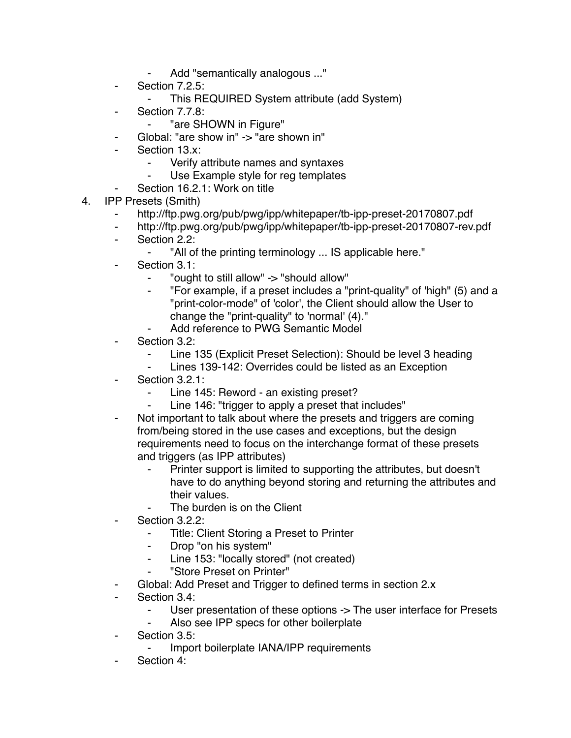- Add "semantically analogous ..."
- ⁃ Section 7.2.5:
	- This REQUIRED System attribute (add System)
- Section 7.7.8:
	- ⁃ "are SHOWN in Figure"
- Global: "are show in" -> "are shown in"
- Section 13.x:
	- ⁃ Verify attribute names and syntaxes
	- Use Example style for reg templates
	- Section 16.2.1: Work on title
- 4. IPP Presets (Smith)
	- ⁃ http://ftp.pwg.org/pub/pwg/ipp/whitepaper/tb-ipp-preset-20170807.pdf
	- ⁃ http://ftp.pwg.org/pub/pwg/ipp/whitepaper/tb-ipp-preset-20170807-rev.pdf
	- ⁃ Section 2.2:
		- ⁃ "All of the printing terminology ... IS applicable here."
	- Section 3.1:
		- ⁃ "ought to still allow" -> "should allow"
		- ⁃ "For example, if a preset includes a "print-quality" of 'high" (5) and a "print-color-mode" of 'color', the Client should allow the User to change the "print-quality" to 'normal' (4)."
		- Add reference to PWG Semantic Model
	- Section 3.2:
		- Line 135 (Explicit Preset Selection): Should be level 3 heading
		- Lines 139-142: Overrides could be listed as an Exception
	- Section 3.2.1:
		- Line 145: Reword an existing preset?
		- ⁃ Line 146: "trigger to apply a preset that includes"
	- Not important to talk about where the presets and triggers are coming from/being stored in the use cases and exceptions, but the design requirements need to focus on the interchange format of these presets and triggers (as IPP attributes)
		- ⁃ Printer support is limited to supporting the attributes, but doesn't have to do anything beyond storing and returning the attributes and their values.
			- The burden is on the Client
	- Section 3.2.2:
		- ⁃ Title: Client Storing a Preset to Printer
		- ⁃ Drop "on his system"
		- Line 153: "locally stored" (not created)
		- ⁃ "Store Preset on Printer"
	- Global: Add Preset and Trigger to defined terms in section 2.x
	- ⁃ Section 3.4:
		- User presentation of these options -> The user interface for Presets
		- Also see IPP specs for other boilerplate
	- ⁃ Section 3.5:
		- Import boilerplate IANA/IPP requirements
	- Section 4: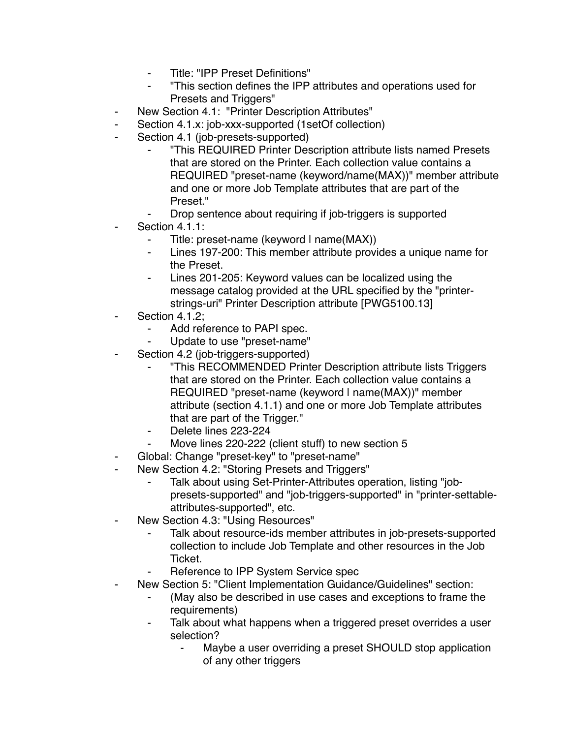- ⁃ Title: "IPP Preset Definitions"
- ⁃ "This section defines the IPP attributes and operations used for Presets and Triggers"
- ⁃ New Section 4.1: "Printer Description Attributes"
- ⁃ Section 4.1.x: job-xxx-supported (1setOf collection)
- Section 4.1 (job-presets-supported)
	- ⁃ "This REQUIRED Printer Description attribute lists named Presets that are stored on the Printer. Each collection value contains a REQUIRED "preset-name (keyword/name(MAX))" member attribute and one or more Job Template attributes that are part of the Preset."
	- Drop sentence about requiring if job-triggers is supported
- Section 4.1.1:
	- Title: preset-name (keyword I name(MAX))
	- Lines 197-200: This member attribute provides a unique name for the Preset.
	- Lines 201-205: Keyword values can be localized using the message catalog provided at the URL specified by the "printerstrings-uri" Printer Description attribute [PWG5100.13]
- Section 4.1.2;
	- Add reference to PAPI spec.
	- Update to use "preset-name"
- Section 4.2 (job-triggers-supported)
	- ⁃ "This RECOMMENDED Printer Description attribute lists Triggers that are stored on the Printer. Each collection value contains a REQUIRED "preset-name (keyword | name(MAX))" member attribute (section 4.1.1) and one or more Job Template attributes that are part of the Trigger."
	- Delete lines 223-224
	- Move lines 220-222 (client stuff) to new section 5
- Global: Change "preset-key" to "preset-name"
- ⁃ New Section 4.2: "Storing Presets and Triggers"
	- Talk about using Set-Printer-Attributes operation, listing "jobpresets-supported" and "job-triggers-supported" in "printer-settableattributes-supported", etc.
- New Section 4.3: "Using Resources"
	- Talk about resource-ids member attributes in job-presets-supported collection to include Job Template and other resources in the Job Ticket.
	- Reference to IPP System Service spec
- New Section 5: "Client Implementation Guidance/Guidelines" section:
	- (May also be described in use cases and exceptions to frame the requirements)
	- ⁃ Talk about what happens when a triggered preset overrides a user selection?
		- Maybe a user overriding a preset SHOULD stop application of any other triggers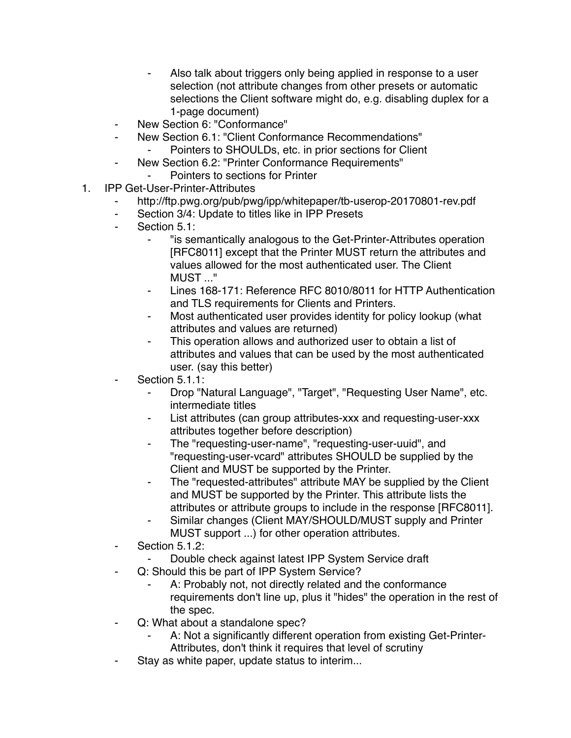- Also talk about triggers only being applied in response to a user selection (not attribute changes from other presets or automatic selections the Client software might do, e.g. disabling duplex for a 1-page document)
- ⁃ New Section 6: "Conformance"
- New Section 6.1: "Client Conformance Recommendations" Pointers to SHOULDs, etc. in prior sections for Client
- ⁃ New Section 6.2: "Printer Conformance Requirements"
	- Pointers to sections for Printer
- 1. IPP Get-User-Printer-Attributes
	- http://ftp.pwg.org/pub/pwg/ipp/whitepaper/tb-userop-20170801-rev.pdf
	- ⁃ Section 3/4: Update to titles like in IPP Presets
	- Section 5.1:
		- ⁃ "is semantically analogous to the Get-Printer-Attributes operation [RFC8011] except that the Printer MUST return the attributes and values allowed for the most authenticated user. The Client MUST ..."
		- Lines 168-171: Reference RFC 8010/8011 for HTTP Authentication and TLS requirements for Clients and Printers.
		- ⁃ Most authenticated user provides identity for policy lookup (what attributes and values are returned)
		- This operation allows and authorized user to obtain a list of attributes and values that can be used by the most authenticated user. (say this better)
	- Section 5.1.1:
		- Drop "Natural Language", "Target", "Requesting User Name", etc. intermediate titles
		- List attributes (can group attributes-xxx and requesting-user-xxx attributes together before description)
		- The "requesting-user-name", "requesting-user-uuid", and "requesting-user-vcard" attributes SHOULD be supplied by the Client and MUST be supported by the Printer.
		- The "requested-attributes" attribute MAY be supplied by the Client and MUST be supported by the Printer. This attribute lists the attributes or attribute groups to include in the response [RFC8011].
		- Similar changes (Client MAY/SHOULD/MUST supply and Printer MUST support ...) for other operation attributes.
	- Section 5.1.2:
		- Double check against latest IPP System Service draft
	- Q: Should this be part of IPP System Service?
		- A: Probably not, not directly related and the conformance requirements don't line up, plus it "hides" the operation in the rest of the spec.
	- Q: What about a standalone spec?
		- A: Not a significantly different operation from existing Get-Printer-Attributes, don't think it requires that level of scrutiny
	- Stay as white paper, update status to interim...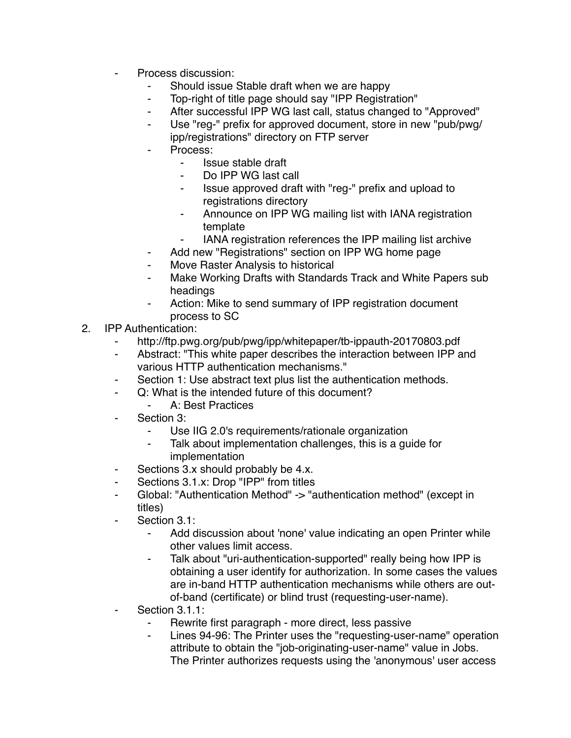- Process discussion:
	- Should issue Stable draft when we are happy
	- Top-right of title page should say "IPP Registration"
	- ⁃ After successful IPP WG last call, status changed to "Approved"
	- Use "reg-" prefix for approved document, store in new "pub/pwg/ ipp/registrations" directory on FTP server
	- Process:
		- ⁃ Issue stable draft
		- Do IPP WG last call
		- ⁃ Issue approved draft with "reg-" prefix and upload to registrations directory
		- ⁃ Announce on IPP WG mailing list with IANA registration template
		- **IANA registration references the IPP mailing list archive**
	- ⁃ Add new "Registrations" section on IPP WG home page
	- Move Raster Analysis to historical
	- Make Working Drafts with Standards Track and White Papers sub headings
	- Action: Mike to send summary of IPP registration document process to SC
- 2. IPP Authentication:
	- http://ftp.pwg.org/pub/pwg/ipp/whitepaper/tb-ippauth-20170803.pdf
	- Abstract: "This white paper describes the interaction between IPP and various HTTP authentication mechanisms."
	- ⁃ Section 1: Use abstract text plus list the authentication methods.
	- Q: What is the intended future of this document?
		- A: Best Practices
	- Section 3:
		- Use IIG 2.0's requirements/rationale organization
		- Talk about implementation challenges, this is a quide for implementation
	- ⁃ Sections 3.x should probably be 4.x.
	- Sections 3.1.x: Drop "IPP" from titles
	- Global: "Authentication Method" -> "authentication method" (except in titles)
	- Section 3.1:
		- Add discussion about 'none' value indicating an open Printer while other values limit access.
		- Talk about "uri-authentication-supported" really being how IPP is obtaining a user identify for authorization. In some cases the values are in-band HTTP authentication mechanisms while others are outof-band (certificate) or blind trust (requesting-user-name).
	- Section 3.1.1:
		- ⁃ Rewrite first paragraph more direct, less passive
		- Lines 94-96: The Printer uses the "requesting-user-name" operation attribute to obtain the "job-originating-user-name" value in Jobs. The Printer authorizes requests using the 'anonymous' user access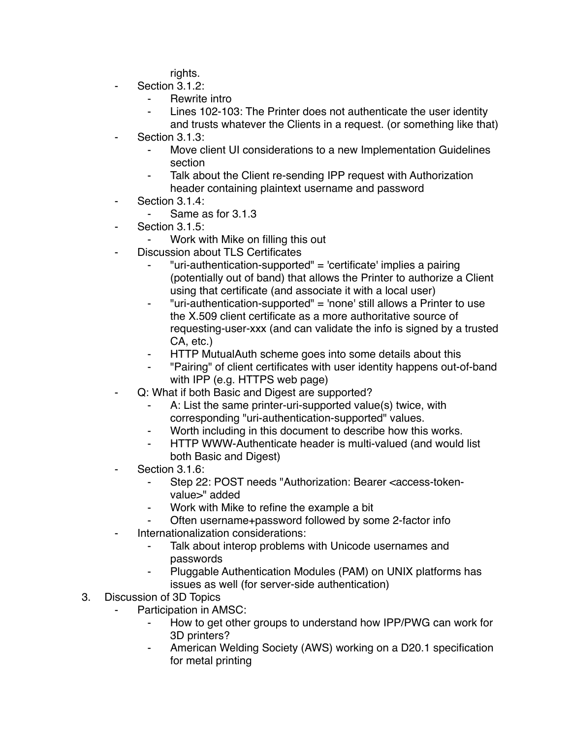rights.

- Section 3.1.2:
	- Rewrite intro
	- Lines 102-103: The Printer does not authenticate the user identity and trusts whatever the Clients in a request. (or something like that)
- Section 3.1.3:
	- ⁃ Move client UI considerations to a new Implementation Guidelines section
	- Talk about the Client re-sending IPP request with Authorization header containing plaintext username and password
- ⁃ Section 3.1.4:
	- Same as for 3.1.3
- Section 3.1.5:
	- Work with Mike on filling this out
- ⁃ Discussion about TLS Certificates
	- ⁃ "uri-authentication-supported" = 'certificate' implies a pairing (potentially out of band) that allows the Printer to authorize a Client using that certificate (and associate it with a local user)
	- ⁃ "uri-authentication-supported" = 'none' still allows a Printer to use the X.509 client certificate as a more authoritative source of requesting-user-xxx (and can validate the info is signed by a trusted CA, etc.)
	- HTTP MutualAuth scheme goes into some details about this
	- ⁃ "Pairing" of client certificates with user identity happens out-of-band with IPP (e.g. HTTPS web page)
- Q: What if both Basic and Digest are supported?
	- ⁃ A: List the same printer-uri-supported value(s) twice, with corresponding "uri-authentication-supported" values.
	- Worth including in this document to describe how this works.
	- HTTP WWW-Authenticate header is multi-valued (and would list both Basic and Digest)
- Section 3.1.6:
	- Step 22: POST needs "Authorization: Bearer <access-tokenvalue>" added
	- ⁃ Work with Mike to refine the example a bit
	- Often username+password followed by some 2-factor info
- Internationalization considerations:
	- ⁃ Talk about interop problems with Unicode usernames and passwords
	- Pluggable Authentication Modules (PAM) on UNIX platforms has issues as well (for server-side authentication)
- 3. Discussion of 3D Topics
	- Participation in AMSC:
		- ⁃ How to get other groups to understand how IPP/PWG can work for 3D printers?
		- American Welding Society (AWS) working on a D20.1 specification for metal printing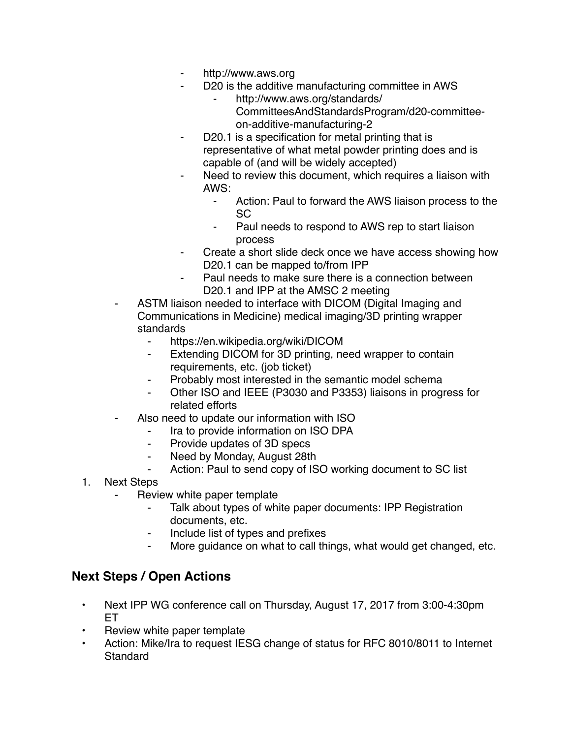- http://www.aws.org
- D20 is the additive manufacturing committee in AWS
	- http://www.aws.org/standards/ CommitteesAndStandardsProgram/d20-committeeon-additive-manufacturing-2
- D20.1 is a specification for metal printing that is representative of what metal powder printing does and is capable of (and will be widely accepted)
- Need to review this document, which requires a liaison with AWS:
	- Action: Paul to forward the AWS liaison process to the SC
	- Paul needs to respond to AWS rep to start liaison process
- ⁃ Create a short slide deck once we have access showing how D<sub>20</sub>.1 can be mapped to/from IPP
- Paul needs to make sure there is a connection between D20.1 and IPP at the AMSC 2 meeting
- ASTM liaison needed to interface with DICOM (Digital Imaging and Communications in Medicine) medical imaging/3D printing wrapper standards
	- ⁃ https://en.wikipedia.org/wiki/DICOM
	- Extending DICOM for 3D printing, need wrapper to contain requirements, etc. (job ticket)
	- ⁃ Probably most interested in the semantic model schema
	- ⁃ Other ISO and IEEE (P3030 and P3353) liaisons in progress for related efforts
- Also need to update our information with ISO
	- Ira to provide information on ISO DPA
	- ⁃ Provide updates of 3D specs
	- ⁃ Need by Monday, August 28th
	- Action: Paul to send copy of ISO working document to SC list
- 1. Next Steps
	- Review white paper template
		- Talk about types of white paper documents: IPP Registration documents, etc.
		- ⁃ Include list of types and prefixes
		- ⁃ More guidance on what to call things, what would get changed, etc.

## **Next Steps / Open Actions**

- Next IPP WG conference call on Thursday, August 17, 2017 from 3:00-4:30pm ET
- Review white paper template
- Action: Mike/Ira to request IESG change of status for RFC 8010/8011 to Internet Standard